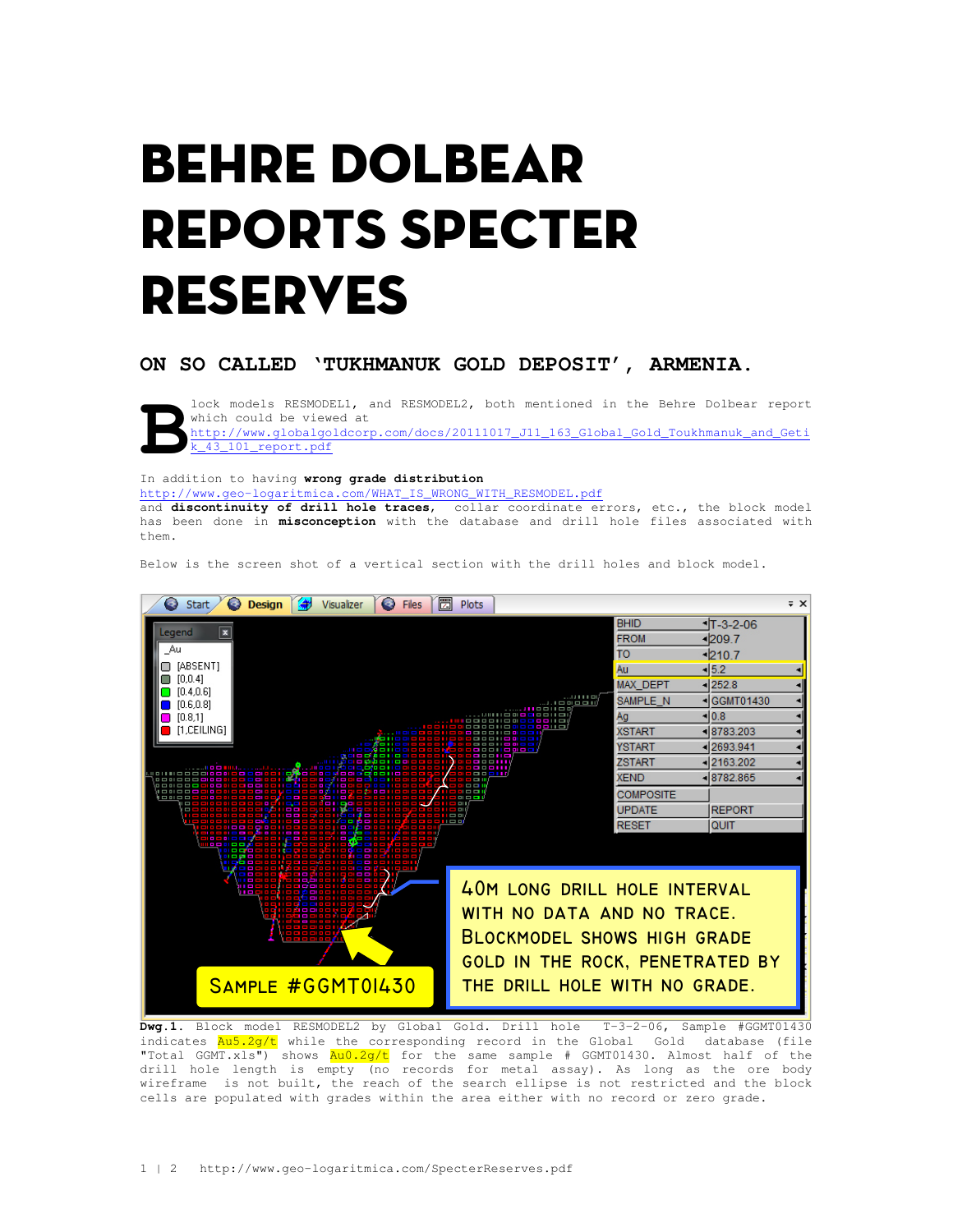## Behre Dolbear Reports Specter Reserves

**ON SO CALLED 'TUKHMANUK GOLD DEPOSIT', ARMENIA.** 



lock models RESMODEL1, and RESMODEL2, both mentioned in the Behre Dolbear report which could be viewed at http://www.globalgoldcorp.com/docs/20111017\_J11\_163\_Global\_Gold\_Toukhmanuk\_and\_Geti k\_43\_101\_report.pdf

In addition to having **wrong grade distribution** 

http://www.geo-logaritmica.com/WHAT\_IS\_WRONG\_WITH\_RESMODEL.pdf

and **discontinuity of drill hole traces**, collar coordinate errors, etc., the block model has been done in **misconception** with the database and drill hole files associated with them.

Below is the screen shot of a vertical section with the drill holes and block model.



**Dwg.1**. Block model RESMODEL2 by Global Gold. Drill hole T-3-2-06, Sample #GGMT01430 indicates  $\frac{\text{Au5.2g/t}}{\text{while the corresponding record in the Global Gold database (file)}$ "Total GGMT.xls") shows  $\frac{Au0.2g/t}{t}$  for the same sample # GGMT01430. Almost half of the drill hole length is empty (no records for metal assay). As long as the ore body wireframe is not built, the reach of the search ellipse is not restricted and the block cells are populated with grades within the area either with no record or zero grade.